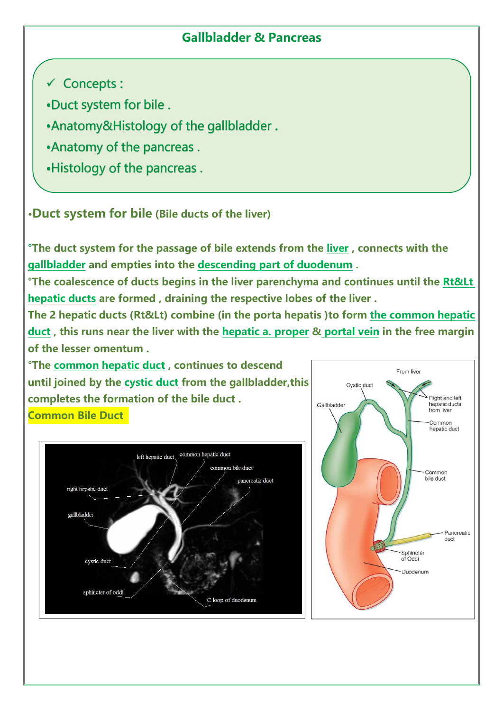## **Gallbladder & Pancreas**

**Concepts:**  $\checkmark$ 

.Duct system for bile.

. Anatomy&Histology of the gallbladder .

. Anatomy of the pancreas.

.Histology of the pancreas.

**•Duct system for bile (Bile ducts of the liver)**

**°The duct system for the passage of bile extends from the liver , connects with the gallbladder and empties into the descending part of duodenum .**

**°The coalescence of ducts begins in the liver parenchyma and continues until the Rt&Lt hepatic ducts are formed , draining the respective lobes of the liver .**

**The 2 hepatic ducts (Rt&Lt) combine (in the porta hepatis )to form the common hepatic duct , this runs near the liver with the hepatic a. proper & portal vein in the free margin of the lesser omentum .**

**°The common hepatic duct , continues to descend until joined by the cystic duct from the gallbladder,this completes the formation of the bile duct . Common Bile Duct**



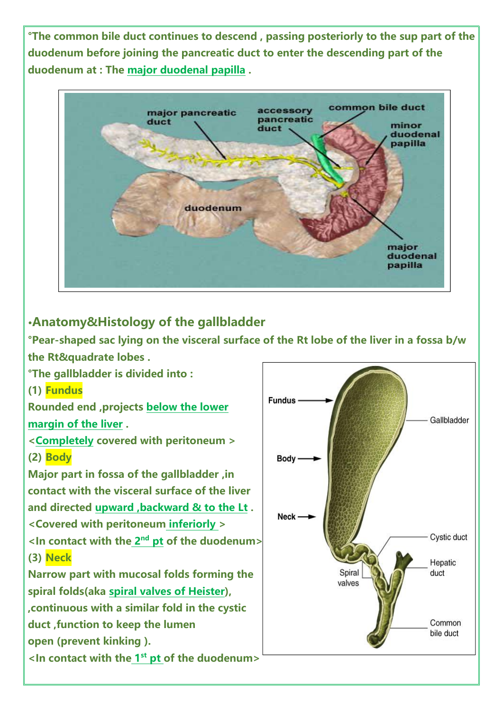**°The common bile duct continues to descend , passing posteriorly to the sup part of the duodenum before joining the pancreatic duct to enter the descending part of the duodenum at : The major duodenal papilla .**



# **•Anatomy&Histology of the gallbladder**

**°Pear-shaped sac lying on the visceral surface of the Rt lobe of the liver in a fossa b/w the Rt&quadrate lobes .**

**°The gallbladder is divided into :**

**(1) Fundus**

**Rounded end ,projects below the lower margin of the liver .**

**<Completely covered with peritoneum > (2) Body**

**Major part in fossa of the gallbladder ,in contact with the visceral surface of the liver and directed upward ,backward & to the Lt . <Covered with peritoneum inferiorly >**  $\leq$  **ln** contact with the 2<sup>nd</sup> pt of the duodenum>  $\leq$   $\leq$   $\leq$   $\leq$   $\leq$ **(3) Neck**

**spiral folds(aka spiral valves of Heister), ,continuous with a similar fold in the cystic duct ,function to keep the lumen open (prevent kinking ).**

**Narrow part with mucosal folds forming the constant in Spiral** valves **<In contact with the 1 st pt of the duodenum>**

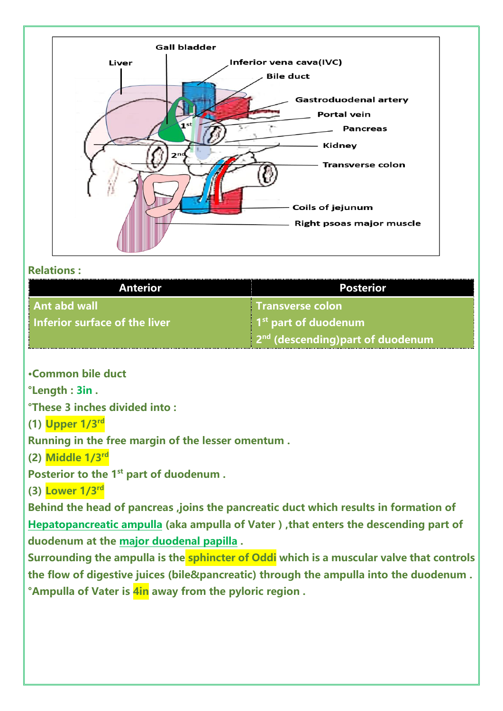

#### **Relations :**

| Anterior                      | <b>Posterior</b>                                            |  |
|-------------------------------|-------------------------------------------------------------|--|
| <b>Ant abd wall</b>           | Transverse colon                                            |  |
| Inferior surface of the liver | 1 <sup>st</sup> part of duodenum                            |  |
|                               | $\frac{1}{2}$ 2 <sup>nd</sup> (descending) part of duodenum |  |

**•Common bile duct**

**°Length : 3in .**

**°These 3 inches divided into :**

**(1) Upper 1/3 rd**

**Running in the free margin of the lesser omentum .**

**(2) Middle 1/3 rd**

**Posterior to the 1 st part of duodenum .**

**(3) Lower 1/3 rd**

**Behind the head of pancreas ,joins the pancreatic duct which results in formation of Hepatopancreatic ampulla (aka ampulla of Vater ) ,that enters the descending part of duodenum at the major duodenal papilla .**

**Surrounding the ampulla is the sphincter of Oddi which is a muscular valve that controls the flow of digestive juices (bile&pancreatic) through the ampulla into the duodenum . °Ampulla of Vater is 4in away from the pyloric region .**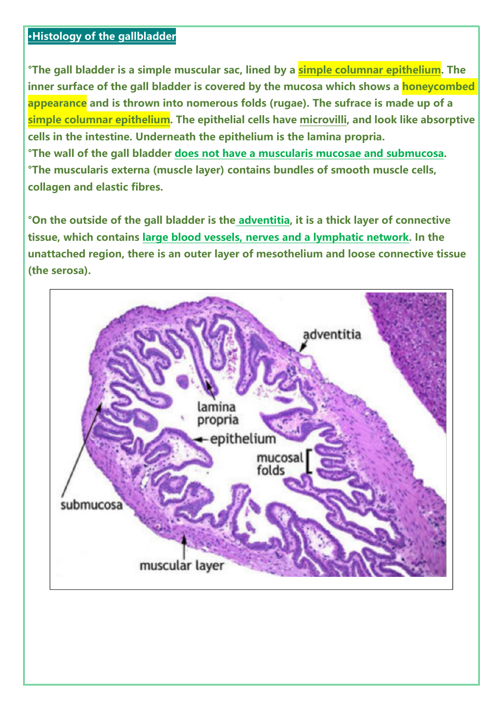### **•Histology of the gallbladder**

**°The gall bladder is a simple muscular sac, lined by a simple columnar epithelium. The inner surface of the gall bladder is covered by the mucosa which shows a honeycombed appearance and is thrown into nomerous folds (rugae). The sufrace is made up of a simple columnar epithelium. The epithelial cells have microvilli, and look like absorptive cells in the intestine.Underneath the epithelium is the lamina propria. °The wall of the gall bladder does not have a muscularis mucosae and submucosa. °The muscularis externa (muscle layer) contains bundles of smooth muscle cells, collagen and elastic fibres.**

**°On the outside of the gallbladder is the adventitia, it is a thick layer of connective tissue, which contains large blood vessels, nerves and a lymphatic network. In the unattached region, there is an outer layer of mesothelium and loose connective tissue (the serosa).**

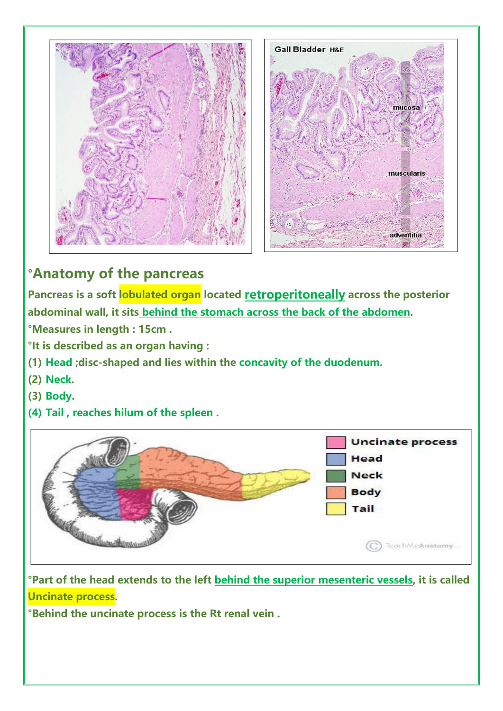

# **°Anatomy of the pancreas**

**Pancreas is a soft lobulated organ located retroperitoneally across the posterior abdominal wall, it sits behind the stomach across the back of the abdomen.**

**°Measures in length : 15cm .**

- **°It is described as an organ having :**
- **(1) Head ;disc-shaped and lies within the concavity of the duodenum.**
- **(2) Neck.**
- **(3) Body.**
- **(4) Tail , reaches hilum of the spleen .**



**°Part of the head extends to the left behind the superior mesenteric vessels, it is called Uncinate process.**

**°Behind the uncinate process is the Rt renal vein .**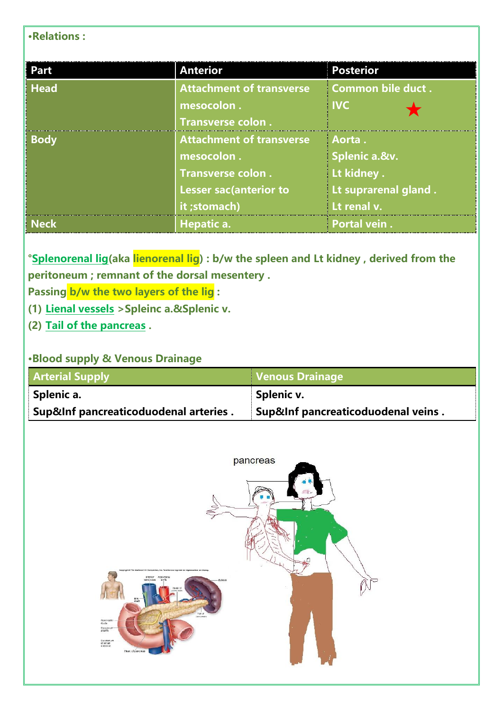### **•Relations :**

| Part        | <b>Anterior</b>                 | <b>Posterior</b>         |
|-------------|---------------------------------|--------------------------|
| <b>Head</b> | <b>Attachment of transverse</b> | <b>Common bile duct.</b> |
|             | mesocolon.                      | <b>IVC</b>               |
|             | Transverse colon.               |                          |
| <b>Body</b> | <b>Attachment of transverse</b> | Aorta.                   |
|             | mesocolon.                      | Splenic a.&v.            |
|             | Transverse colon.               | Lt kidney.               |
|             | <b>Lesser sac(anterior to</b>   | Lt suprarenal gland.     |
|             | it ;stomach)                    | Lt renal v.              |
| <b>Neck</b> | Hepatic a.                      | Portal vein.             |
|             |                                 |                          |

**°Splenorenal lig(aka lienorenal lig) : b/w the spleen and Lt kidney , derived from the peritoneum ; remnant of the dorsal mesentery .**

**Passing b/w the two layers of the lig :**

**(1) Lienal vessels >Spleinc a.&Splenic v.**

**(2) Tail of the pancreas .**

### **•Blood supply & Venous Drainage**

| <b>Arterial Supply</b>                | Venous Drainage                    |  |
|---------------------------------------|------------------------------------|--|
| <sup>i</sup> Splenic a.               | Splenic v.                         |  |
| Sup&Inf pancreaticoduodenal arteries. | Sup&Inf pancreaticoduodenal veins. |  |

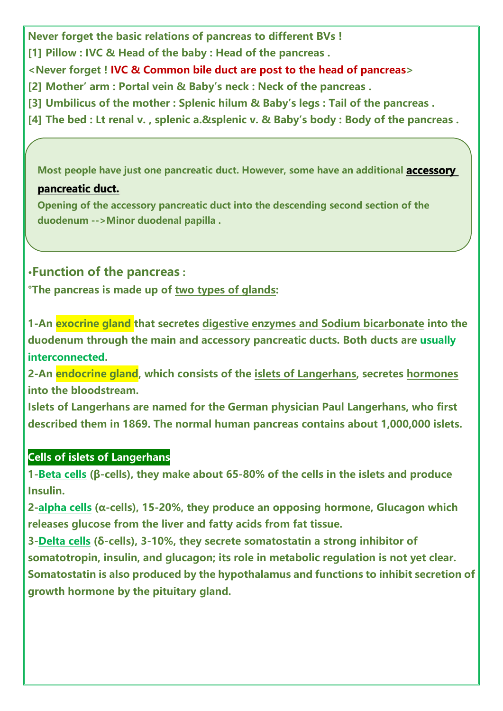**Never forget the basic relations of pancreas to different BVs !**

**[1] Pillow : IVC & Head of thebaby : Head of the pancreas .**

**<Never forget ! IVC & Common bile duct are post to the head of pancreas>**

**[2] Mother' arm : Portal vein & Baby's neck : Neck of the pancreas .**

**[3] Umbilicus of the mother : Splenic hilum & Baby's legs : Tail of the pancreas .**

[4] The bed : Lt renal v., splenic a.&splenic v. & Baby's body : Body of the pancreas.

**Most people have just one pancreatic duct. However, some have an additional**

## pancreatic duct.

**Opening of the accessory pancreatic duct into the descending second section of the duodenum -->Minor duodenal papilla .**

**•Function of the pancreas :**

**°The pancreas is made up of two types of glands:**

**1-An exocrine gland that secretes digestive enzymes and Sodium bicarbonate into the duodenum through the main and accessory pancreatic ducts. Both ducts are usually interconnected.**

**2-An endocrine gland, which consists of the islets of Langerhans, secretes hormones into the bloodstream.**

**Islets of Langerhans are named for the German physician Paul Langerhans, who first described them in 1869.The normal human pancreas contains about 1,000,000 islets.**

## **Cells of islets of Langerhans**

**1-Beta cells (β-cells), they make about65-80% of the cells in the islets and produce Insulin.**

**2-alpha cells (α-cells), 15-20%, they produce an opposing hormone, Glucagon which releases glucose from the liver and fatty acids from fat tissue.**

**3-Delta cells (δ-cells), 3-10%, they secrete somatostatin a strong inhibitorof somatotropin, insulin, and glucagon; its role in metabolic regulation is not yet clear. Somatostatin is also produced by the hypothalamus and functions to inhibit secretion of growth hormone by the pituitary gland.**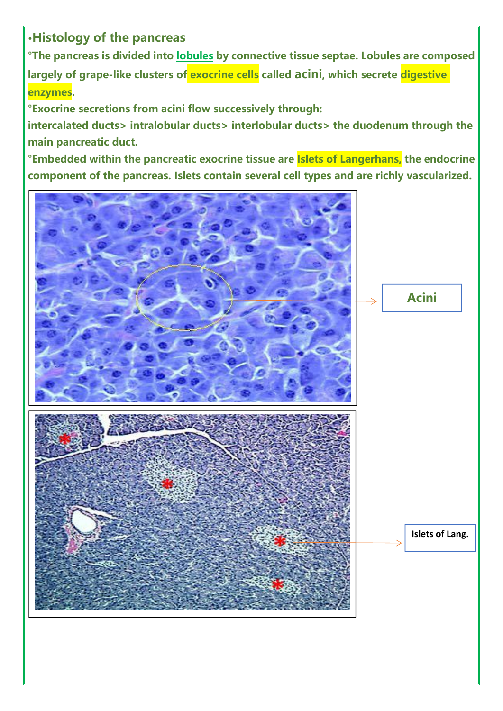**•Histology of the pancreas**

**°The pancreas is divided into lobules by connective tissue septae. Lobules are composed largely of grape-like clusters of exocrine cells called acini, which secrete digestive enzymes.**

**°Exocrine secretions from acini flow successively through:**

**intercalated ducts> intralobular ducts> interlobular ducts> the duodenum through the main pancreatic duct.**

**°Embedded within the pancreatic exocrine tissue are Islets of Langerhans, the endocrine component of the pancreas. Islets contain several cell types and are richly vascularized.**